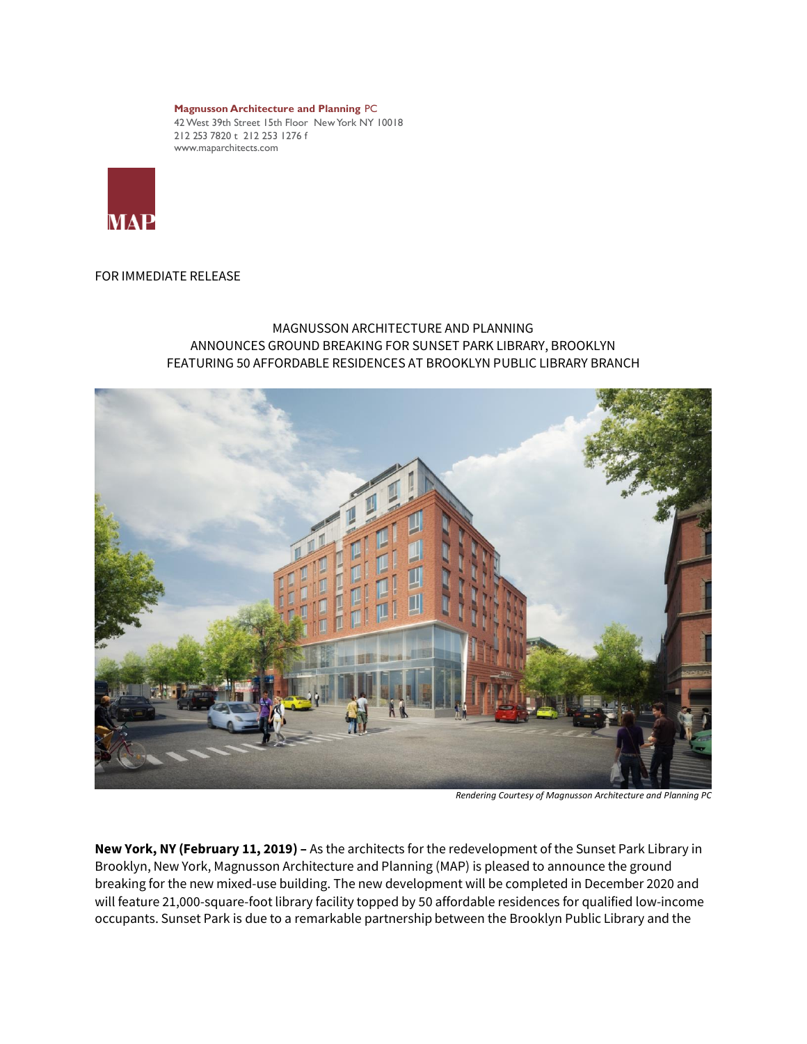**Magnusson Architecture and Planning** PC 42 West 39th Street 15th Floor New York NY 10018 212 253 7820 t 212 253 1276 f www.maparchitects.com



## FOR IMMEDIATE RELEASE

## MAGNUSSON ARCHITECTURE AND PLANNING ANNOUNCES GROUND BREAKING FOR SUNSET PARK LIBRARY, BROOKLYN FEATURING 50 AFFORDABLE RESIDENCES AT BROOKLYN PUBLIC LIBRARY BRANCH



*Rendering Courtesy of Magnusson Architecture and Planning PC*

**New York, NY (February 11, 2019) –** As the architects for the redevelopment of the Sunset Park Library in Brooklyn, New York, Magnusson Architecture and Planning (MAP) is pleased to announce the ground breaking for the new mixed-use building. The new development will be completed in December 2020 and will feature 21,000-square-foot library facility topped by 50 affordable residences for qualified low-income occupants. Sunset Park is due to a remarkable partnership between the Brooklyn Public Library and the